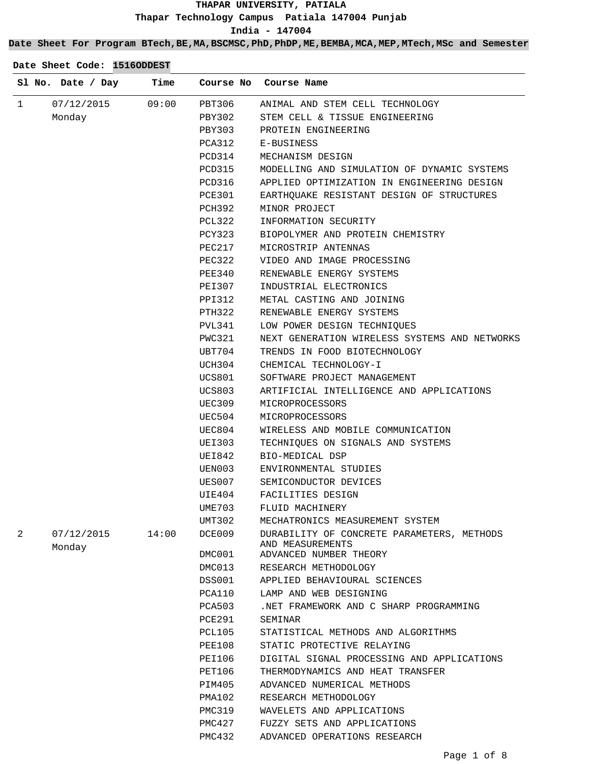## **Date Sheet For Program BTech,BE,MA,BSCMSC,PhD,PhDP,ME,BEMBA,MCA,MEP,MTech,MSc and Semester**

| $\mathbf{1}$<br>07/12/2015<br>09:00<br>PBT306<br>ANIMAL AND STEM CELL TECHNOLOGY<br>Monday<br>PBY302<br>STEM CELL & TISSUE ENGINEERING<br>PBY303<br>PROTEIN ENGINEERING<br>PCA312<br>E-BUSINESS<br>PCD314<br>MECHANISM DESIGN<br>PCD315<br>MODELLING AND SIMULATION OF DYNAMIC SYSTEMS<br>PCD316<br>APPLIED OPTIMIZATION IN ENGINEERING DESIGN<br>PCE301<br>EARTHQUAKE RESISTANT DESIGN OF STRUCTURES<br>PCH392<br>MINOR PROJECT<br>PCL322<br>INFORMATION SECURITY<br>PCY323<br>BIOPOLYMER AND PROTEIN CHEMISTRY<br>MICROSTRIP ANTENNAS<br>PEC217<br>VIDEO AND IMAGE PROCESSING<br>PEC322<br>PEE340<br>RENEWABLE ENERGY SYSTEMS<br>INDUSTRIAL ELECTRONICS<br>PEI307<br>METAL CASTING AND JOINING<br>PPI312<br>PTH322<br>RENEWABLE ENERGY SYSTEMS<br>PVL341<br>LOW POWER DESIGN TECHNIOUES<br>PWC321<br>NEXT GENERATION WIRELESS SYSTEMS AND NETWORKS<br>UBT704<br>TRENDS IN FOOD BIOTECHNOLOGY<br>UCH304<br>CHEMICAL TECHNOLOGY-I<br>UCS801<br>SOFTWARE PROJECT MANAGEMENT<br>UCS803<br>ARTIFICIAL INTELLIGENCE AND APPLICATIONS<br>UEC309<br>MICROPROCESSORS<br>UEC504<br>MICROPROCESSORS<br>UEC804<br>WIRELESS AND MOBILE COMMUNICATION<br>UEI303<br>TECHNIQUES ON SIGNALS AND SYSTEMS<br>UEI842<br>BIO-MEDICAL DSP<br>UEN003<br>ENVIRONMENTAL STUDIES<br>UES007<br>SEMICONDUCTOR DEVICES<br>UIE404<br>FACILITIES DESIGN<br>UME703<br>FLUID MACHINERY<br>UMT302<br>MECHATRONICS MEASUREMENT SYSTEM<br>14:00<br>2<br>07/12/2015<br>DCE009<br>DURABILITY OF CONCRETE PARAMETERS, METHODS<br>AND MEASUREMENTS<br>Monday<br>DMC001<br>ADVANCED NUMBER THEORY<br>DMC013<br>RESEARCH METHODOLOGY<br>DSS001<br>APPLIED BEHAVIOURAL SCIENCES<br>PCA110<br>LAMP AND WEB DESIGNING<br>.NET FRAMEWORK AND C SHARP PROGRAMMING<br>PCA503<br>PCE291<br>SEMINAR<br>PCL105<br>STATISTICAL METHODS AND ALGORITHMS<br>PEE108<br>STATIC PROTECTIVE RELAYING<br>PEI106<br>DIGITAL SIGNAL PROCESSING AND APPLICATIONS<br>PET106<br>THERMODYNAMICS AND HEAT TRANSFER<br>PIM405<br>ADVANCED NUMERICAL METHODS<br>PMA102<br>RESEARCH METHODOLOGY<br>WAVELETS AND APPLICATIONS<br>PMC319<br>PMC427<br>FUZZY SETS AND APPLICATIONS | Sl No. Date / Day | Time |        | Course No Course Name        |
|-------------------------------------------------------------------------------------------------------------------------------------------------------------------------------------------------------------------------------------------------------------------------------------------------------------------------------------------------------------------------------------------------------------------------------------------------------------------------------------------------------------------------------------------------------------------------------------------------------------------------------------------------------------------------------------------------------------------------------------------------------------------------------------------------------------------------------------------------------------------------------------------------------------------------------------------------------------------------------------------------------------------------------------------------------------------------------------------------------------------------------------------------------------------------------------------------------------------------------------------------------------------------------------------------------------------------------------------------------------------------------------------------------------------------------------------------------------------------------------------------------------------------------------------------------------------------------------------------------------------------------------------------------------------------------------------------------------------------------------------------------------------------------------------------------------------------------------------------------------------------------------------------------------------------------------------------------------------------------------------------------------------------------------------------------------------------------------------------------------|-------------------|------|--------|------------------------------|
|                                                                                                                                                                                                                                                                                                                                                                                                                                                                                                                                                                                                                                                                                                                                                                                                                                                                                                                                                                                                                                                                                                                                                                                                                                                                                                                                                                                                                                                                                                                                                                                                                                                                                                                                                                                                                                                                                                                                                                                                                                                                                                             |                   |      |        |                              |
|                                                                                                                                                                                                                                                                                                                                                                                                                                                                                                                                                                                                                                                                                                                                                                                                                                                                                                                                                                                                                                                                                                                                                                                                                                                                                                                                                                                                                                                                                                                                                                                                                                                                                                                                                                                                                                                                                                                                                                                                                                                                                                             |                   |      |        |                              |
|                                                                                                                                                                                                                                                                                                                                                                                                                                                                                                                                                                                                                                                                                                                                                                                                                                                                                                                                                                                                                                                                                                                                                                                                                                                                                                                                                                                                                                                                                                                                                                                                                                                                                                                                                                                                                                                                                                                                                                                                                                                                                                             |                   |      |        |                              |
|                                                                                                                                                                                                                                                                                                                                                                                                                                                                                                                                                                                                                                                                                                                                                                                                                                                                                                                                                                                                                                                                                                                                                                                                                                                                                                                                                                                                                                                                                                                                                                                                                                                                                                                                                                                                                                                                                                                                                                                                                                                                                                             |                   |      |        |                              |
|                                                                                                                                                                                                                                                                                                                                                                                                                                                                                                                                                                                                                                                                                                                                                                                                                                                                                                                                                                                                                                                                                                                                                                                                                                                                                                                                                                                                                                                                                                                                                                                                                                                                                                                                                                                                                                                                                                                                                                                                                                                                                                             |                   |      |        |                              |
|                                                                                                                                                                                                                                                                                                                                                                                                                                                                                                                                                                                                                                                                                                                                                                                                                                                                                                                                                                                                                                                                                                                                                                                                                                                                                                                                                                                                                                                                                                                                                                                                                                                                                                                                                                                                                                                                                                                                                                                                                                                                                                             |                   |      |        |                              |
|                                                                                                                                                                                                                                                                                                                                                                                                                                                                                                                                                                                                                                                                                                                                                                                                                                                                                                                                                                                                                                                                                                                                                                                                                                                                                                                                                                                                                                                                                                                                                                                                                                                                                                                                                                                                                                                                                                                                                                                                                                                                                                             |                   |      |        |                              |
|                                                                                                                                                                                                                                                                                                                                                                                                                                                                                                                                                                                                                                                                                                                                                                                                                                                                                                                                                                                                                                                                                                                                                                                                                                                                                                                                                                                                                                                                                                                                                                                                                                                                                                                                                                                                                                                                                                                                                                                                                                                                                                             |                   |      |        |                              |
|                                                                                                                                                                                                                                                                                                                                                                                                                                                                                                                                                                                                                                                                                                                                                                                                                                                                                                                                                                                                                                                                                                                                                                                                                                                                                                                                                                                                                                                                                                                                                                                                                                                                                                                                                                                                                                                                                                                                                                                                                                                                                                             |                   |      |        |                              |
|                                                                                                                                                                                                                                                                                                                                                                                                                                                                                                                                                                                                                                                                                                                                                                                                                                                                                                                                                                                                                                                                                                                                                                                                                                                                                                                                                                                                                                                                                                                                                                                                                                                                                                                                                                                                                                                                                                                                                                                                                                                                                                             |                   |      |        |                              |
|                                                                                                                                                                                                                                                                                                                                                                                                                                                                                                                                                                                                                                                                                                                                                                                                                                                                                                                                                                                                                                                                                                                                                                                                                                                                                                                                                                                                                                                                                                                                                                                                                                                                                                                                                                                                                                                                                                                                                                                                                                                                                                             |                   |      |        |                              |
|                                                                                                                                                                                                                                                                                                                                                                                                                                                                                                                                                                                                                                                                                                                                                                                                                                                                                                                                                                                                                                                                                                                                                                                                                                                                                                                                                                                                                                                                                                                                                                                                                                                                                                                                                                                                                                                                                                                                                                                                                                                                                                             |                   |      |        |                              |
|                                                                                                                                                                                                                                                                                                                                                                                                                                                                                                                                                                                                                                                                                                                                                                                                                                                                                                                                                                                                                                                                                                                                                                                                                                                                                                                                                                                                                                                                                                                                                                                                                                                                                                                                                                                                                                                                                                                                                                                                                                                                                                             |                   |      |        |                              |
|                                                                                                                                                                                                                                                                                                                                                                                                                                                                                                                                                                                                                                                                                                                                                                                                                                                                                                                                                                                                                                                                                                                                                                                                                                                                                                                                                                                                                                                                                                                                                                                                                                                                                                                                                                                                                                                                                                                                                                                                                                                                                                             |                   |      |        |                              |
|                                                                                                                                                                                                                                                                                                                                                                                                                                                                                                                                                                                                                                                                                                                                                                                                                                                                                                                                                                                                                                                                                                                                                                                                                                                                                                                                                                                                                                                                                                                                                                                                                                                                                                                                                                                                                                                                                                                                                                                                                                                                                                             |                   |      |        |                              |
|                                                                                                                                                                                                                                                                                                                                                                                                                                                                                                                                                                                                                                                                                                                                                                                                                                                                                                                                                                                                                                                                                                                                                                                                                                                                                                                                                                                                                                                                                                                                                                                                                                                                                                                                                                                                                                                                                                                                                                                                                                                                                                             |                   |      |        |                              |
|                                                                                                                                                                                                                                                                                                                                                                                                                                                                                                                                                                                                                                                                                                                                                                                                                                                                                                                                                                                                                                                                                                                                                                                                                                                                                                                                                                                                                                                                                                                                                                                                                                                                                                                                                                                                                                                                                                                                                                                                                                                                                                             |                   |      |        |                              |
|                                                                                                                                                                                                                                                                                                                                                                                                                                                                                                                                                                                                                                                                                                                                                                                                                                                                                                                                                                                                                                                                                                                                                                                                                                                                                                                                                                                                                                                                                                                                                                                                                                                                                                                                                                                                                                                                                                                                                                                                                                                                                                             |                   |      |        |                              |
|                                                                                                                                                                                                                                                                                                                                                                                                                                                                                                                                                                                                                                                                                                                                                                                                                                                                                                                                                                                                                                                                                                                                                                                                                                                                                                                                                                                                                                                                                                                                                                                                                                                                                                                                                                                                                                                                                                                                                                                                                                                                                                             |                   |      |        |                              |
|                                                                                                                                                                                                                                                                                                                                                                                                                                                                                                                                                                                                                                                                                                                                                                                                                                                                                                                                                                                                                                                                                                                                                                                                                                                                                                                                                                                                                                                                                                                                                                                                                                                                                                                                                                                                                                                                                                                                                                                                                                                                                                             |                   |      |        |                              |
|                                                                                                                                                                                                                                                                                                                                                                                                                                                                                                                                                                                                                                                                                                                                                                                                                                                                                                                                                                                                                                                                                                                                                                                                                                                                                                                                                                                                                                                                                                                                                                                                                                                                                                                                                                                                                                                                                                                                                                                                                                                                                                             |                   |      |        |                              |
|                                                                                                                                                                                                                                                                                                                                                                                                                                                                                                                                                                                                                                                                                                                                                                                                                                                                                                                                                                                                                                                                                                                                                                                                                                                                                                                                                                                                                                                                                                                                                                                                                                                                                                                                                                                                                                                                                                                                                                                                                                                                                                             |                   |      |        |                              |
|                                                                                                                                                                                                                                                                                                                                                                                                                                                                                                                                                                                                                                                                                                                                                                                                                                                                                                                                                                                                                                                                                                                                                                                                                                                                                                                                                                                                                                                                                                                                                                                                                                                                                                                                                                                                                                                                                                                                                                                                                                                                                                             |                   |      |        |                              |
|                                                                                                                                                                                                                                                                                                                                                                                                                                                                                                                                                                                                                                                                                                                                                                                                                                                                                                                                                                                                                                                                                                                                                                                                                                                                                                                                                                                                                                                                                                                                                                                                                                                                                                                                                                                                                                                                                                                                                                                                                                                                                                             |                   |      |        |                              |
|                                                                                                                                                                                                                                                                                                                                                                                                                                                                                                                                                                                                                                                                                                                                                                                                                                                                                                                                                                                                                                                                                                                                                                                                                                                                                                                                                                                                                                                                                                                                                                                                                                                                                                                                                                                                                                                                                                                                                                                                                                                                                                             |                   |      |        |                              |
|                                                                                                                                                                                                                                                                                                                                                                                                                                                                                                                                                                                                                                                                                                                                                                                                                                                                                                                                                                                                                                                                                                                                                                                                                                                                                                                                                                                                                                                                                                                                                                                                                                                                                                                                                                                                                                                                                                                                                                                                                                                                                                             |                   |      |        |                              |
|                                                                                                                                                                                                                                                                                                                                                                                                                                                                                                                                                                                                                                                                                                                                                                                                                                                                                                                                                                                                                                                                                                                                                                                                                                                                                                                                                                                                                                                                                                                                                                                                                                                                                                                                                                                                                                                                                                                                                                                                                                                                                                             |                   |      |        |                              |
|                                                                                                                                                                                                                                                                                                                                                                                                                                                                                                                                                                                                                                                                                                                                                                                                                                                                                                                                                                                                                                                                                                                                                                                                                                                                                                                                                                                                                                                                                                                                                                                                                                                                                                                                                                                                                                                                                                                                                                                                                                                                                                             |                   |      |        |                              |
|                                                                                                                                                                                                                                                                                                                                                                                                                                                                                                                                                                                                                                                                                                                                                                                                                                                                                                                                                                                                                                                                                                                                                                                                                                                                                                                                                                                                                                                                                                                                                                                                                                                                                                                                                                                                                                                                                                                                                                                                                                                                                                             |                   |      |        |                              |
|                                                                                                                                                                                                                                                                                                                                                                                                                                                                                                                                                                                                                                                                                                                                                                                                                                                                                                                                                                                                                                                                                                                                                                                                                                                                                                                                                                                                                                                                                                                                                                                                                                                                                                                                                                                                                                                                                                                                                                                                                                                                                                             |                   |      |        |                              |
|                                                                                                                                                                                                                                                                                                                                                                                                                                                                                                                                                                                                                                                                                                                                                                                                                                                                                                                                                                                                                                                                                                                                                                                                                                                                                                                                                                                                                                                                                                                                                                                                                                                                                                                                                                                                                                                                                                                                                                                                                                                                                                             |                   |      |        |                              |
|                                                                                                                                                                                                                                                                                                                                                                                                                                                                                                                                                                                                                                                                                                                                                                                                                                                                                                                                                                                                                                                                                                                                                                                                                                                                                                                                                                                                                                                                                                                                                                                                                                                                                                                                                                                                                                                                                                                                                                                                                                                                                                             |                   |      |        |                              |
|                                                                                                                                                                                                                                                                                                                                                                                                                                                                                                                                                                                                                                                                                                                                                                                                                                                                                                                                                                                                                                                                                                                                                                                                                                                                                                                                                                                                                                                                                                                                                                                                                                                                                                                                                                                                                                                                                                                                                                                                                                                                                                             |                   |      |        |                              |
|                                                                                                                                                                                                                                                                                                                                                                                                                                                                                                                                                                                                                                                                                                                                                                                                                                                                                                                                                                                                                                                                                                                                                                                                                                                                                                                                                                                                                                                                                                                                                                                                                                                                                                                                                                                                                                                                                                                                                                                                                                                                                                             |                   |      |        |                              |
|                                                                                                                                                                                                                                                                                                                                                                                                                                                                                                                                                                                                                                                                                                                                                                                                                                                                                                                                                                                                                                                                                                                                                                                                                                                                                                                                                                                                                                                                                                                                                                                                                                                                                                                                                                                                                                                                                                                                                                                                                                                                                                             |                   |      |        |                              |
|                                                                                                                                                                                                                                                                                                                                                                                                                                                                                                                                                                                                                                                                                                                                                                                                                                                                                                                                                                                                                                                                                                                                                                                                                                                                                                                                                                                                                                                                                                                                                                                                                                                                                                                                                                                                                                                                                                                                                                                                                                                                                                             |                   |      |        |                              |
|                                                                                                                                                                                                                                                                                                                                                                                                                                                                                                                                                                                                                                                                                                                                                                                                                                                                                                                                                                                                                                                                                                                                                                                                                                                                                                                                                                                                                                                                                                                                                                                                                                                                                                                                                                                                                                                                                                                                                                                                                                                                                                             |                   |      |        |                              |
|                                                                                                                                                                                                                                                                                                                                                                                                                                                                                                                                                                                                                                                                                                                                                                                                                                                                                                                                                                                                                                                                                                                                                                                                                                                                                                                                                                                                                                                                                                                                                                                                                                                                                                                                                                                                                                                                                                                                                                                                                                                                                                             |                   |      |        |                              |
|                                                                                                                                                                                                                                                                                                                                                                                                                                                                                                                                                                                                                                                                                                                                                                                                                                                                                                                                                                                                                                                                                                                                                                                                                                                                                                                                                                                                                                                                                                                                                                                                                                                                                                                                                                                                                                                                                                                                                                                                                                                                                                             |                   |      |        |                              |
|                                                                                                                                                                                                                                                                                                                                                                                                                                                                                                                                                                                                                                                                                                                                                                                                                                                                                                                                                                                                                                                                                                                                                                                                                                                                                                                                                                                                                                                                                                                                                                                                                                                                                                                                                                                                                                                                                                                                                                                                                                                                                                             |                   |      |        |                              |
|                                                                                                                                                                                                                                                                                                                                                                                                                                                                                                                                                                                                                                                                                                                                                                                                                                                                                                                                                                                                                                                                                                                                                                                                                                                                                                                                                                                                                                                                                                                                                                                                                                                                                                                                                                                                                                                                                                                                                                                                                                                                                                             |                   |      |        |                              |
|                                                                                                                                                                                                                                                                                                                                                                                                                                                                                                                                                                                                                                                                                                                                                                                                                                                                                                                                                                                                                                                                                                                                                                                                                                                                                                                                                                                                                                                                                                                                                                                                                                                                                                                                                                                                                                                                                                                                                                                                                                                                                                             |                   |      |        |                              |
|                                                                                                                                                                                                                                                                                                                                                                                                                                                                                                                                                                                                                                                                                                                                                                                                                                                                                                                                                                                                                                                                                                                                                                                                                                                                                                                                                                                                                                                                                                                                                                                                                                                                                                                                                                                                                                                                                                                                                                                                                                                                                                             |                   |      |        |                              |
|                                                                                                                                                                                                                                                                                                                                                                                                                                                                                                                                                                                                                                                                                                                                                                                                                                                                                                                                                                                                                                                                                                                                                                                                                                                                                                                                                                                                                                                                                                                                                                                                                                                                                                                                                                                                                                                                                                                                                                                                                                                                                                             |                   |      |        |                              |
|                                                                                                                                                                                                                                                                                                                                                                                                                                                                                                                                                                                                                                                                                                                                                                                                                                                                                                                                                                                                                                                                                                                                                                                                                                                                                                                                                                                                                                                                                                                                                                                                                                                                                                                                                                                                                                                                                                                                                                                                                                                                                                             |                   |      |        |                              |
|                                                                                                                                                                                                                                                                                                                                                                                                                                                                                                                                                                                                                                                                                                                                                                                                                                                                                                                                                                                                                                                                                                                                                                                                                                                                                                                                                                                                                                                                                                                                                                                                                                                                                                                                                                                                                                                                                                                                                                                                                                                                                                             |                   |      |        |                              |
|                                                                                                                                                                                                                                                                                                                                                                                                                                                                                                                                                                                                                                                                                                                                                                                                                                                                                                                                                                                                                                                                                                                                                                                                                                                                                                                                                                                                                                                                                                                                                                                                                                                                                                                                                                                                                                                                                                                                                                                                                                                                                                             |                   |      |        |                              |
|                                                                                                                                                                                                                                                                                                                                                                                                                                                                                                                                                                                                                                                                                                                                                                                                                                                                                                                                                                                                                                                                                                                                                                                                                                                                                                                                                                                                                                                                                                                                                                                                                                                                                                                                                                                                                                                                                                                                                                                                                                                                                                             |                   |      | PMC432 | ADVANCED OPERATIONS RESEARCH |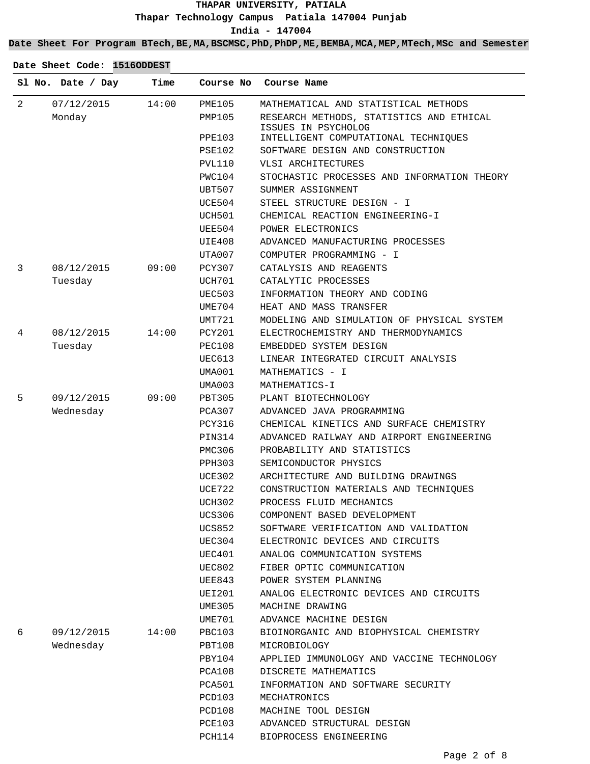#### **Date Sheet For Program BTech,BE,MA,BSCMSC,PhD,PhDP,ME,BEMBA,MCA,MEP,MTech,MSc and Semester**

|                | Sl No. Date / Day | Time  | Course No     | Course Name                                                     |
|----------------|-------------------|-------|---------------|-----------------------------------------------------------------|
| $\overline{2}$ | 07/12/2015        | 14:00 | <b>PME105</b> | MATHEMATICAL AND STATISTICAL METHODS                            |
|                | Monday            |       | PMP105        | RESEARCH METHODS, STATISTICS AND ETHICAL<br>ISSUES IN PSYCHOLOG |
|                |                   |       | PPE103        | INTELLIGENT COMPUTATIONAL TECHNIQUES                            |
|                |                   |       | PSE102        | SOFTWARE DESIGN AND CONSTRUCTION                                |
|                |                   |       | PVL110        | VLSI ARCHITECTURES                                              |
|                |                   |       | PWC104        | STOCHASTIC PROCESSES AND INFORMATION THEORY                     |
|                |                   |       | UBT507        | SUMMER ASSIGNMENT                                               |
|                |                   |       | UCE504        | STEEL STRUCTURE DESIGN - I                                      |
|                |                   |       | UCH501        | CHEMICAL REACTION ENGINEERING-I                                 |
|                |                   |       | UEE504        | POWER ELECTRONICS                                               |
|                |                   |       | UIE408        | ADVANCED MANUFACTURING PROCESSES                                |
|                |                   |       | UTA007        | COMPUTER PROGRAMMING - I                                        |
| 3              | 08/12/2015        | 09:00 | PCY307        | CATALYSIS AND REAGENTS                                          |
|                | Tuesday           |       | UCH701        | CATALYTIC PROCESSES                                             |
|                |                   |       | <b>UEC503</b> | INFORMATION THEORY AND CODING                                   |
|                |                   |       | UME704        | HEAT AND MASS TRANSFER                                          |
|                |                   |       | UMT721        | MODELING AND SIMULATION OF PHYSICAL SYSTEM                      |
| 4              | 08/12/2015        | 14:00 | PCY201        | ELECTROCHEMISTRY AND THERMODYNAMICS                             |
|                | Tuesday           |       | PEC108        | EMBEDDED SYSTEM DESIGN                                          |
|                |                   |       | UEC613        | LINEAR INTEGRATED CIRCUIT ANALYSIS                              |
|                |                   |       | UMA001        | MATHEMATICS - I                                                 |
|                |                   |       | UMA003        | MATHEMATICS-I                                                   |
| 5              | 09/12/2015        | 09:00 | PBT305        | PLANT BIOTECHNOLOGY                                             |
|                | Wednesday         |       | PCA307        | ADVANCED JAVA PROGRAMMING                                       |
|                |                   |       | <b>PCY316</b> | CHEMICAL KINETICS AND SURFACE CHEMISTRY                         |
|                |                   |       | PIN314        | ADVANCED RAILWAY AND AIRPORT ENGINEERING                        |
|                |                   |       | PMC306        | PROBABILITY AND STATISTICS                                      |
|                |                   |       | PPH303        | SEMICONDUCTOR PHYSICS                                           |
|                |                   |       | UCE302        | ARCHITECTURE AND BUILDING DRAWINGS                              |
|                |                   |       | UCE722        | CONSTRUCTION MATERIALS AND TECHNIQUES                           |
|                |                   |       | UCH302        | PROCESS FLUID MECHANICS                                         |
|                |                   |       | <b>UCS306</b> | COMPONENT BASED DEVELOPMENT                                     |
|                |                   |       | UCS852        | SOFTWARE VERIFICATION AND VALIDATION                            |
|                |                   |       | UEC304        | ELECTRONIC DEVICES AND CIRCUITS                                 |
|                |                   |       | UEC401        | ANALOG COMMUNICATION SYSTEMS                                    |
|                |                   |       | UEC802        | FIBER OPTIC COMMUNICATION                                       |
|                |                   |       | UEE843        | POWER SYSTEM PLANNING                                           |
|                |                   |       | UEI201        | ANALOG ELECTRONIC DEVICES AND CIRCUITS                          |
|                |                   |       | UME305        | MACHINE DRAWING                                                 |
|                |                   |       | UME701        | ADVANCE MACHINE DESIGN                                          |
| 6              | 09/12/2015        | 14:00 | PBC103        | BIOINORGANIC AND BIOPHYSICAL CHEMISTRY                          |
|                | Wednesday         |       | PBT108        | MICROBIOLOGY                                                    |
|                |                   |       | PBY104        | APPLIED IMMUNOLOGY AND VACCINE TECHNOLOGY                       |
|                |                   |       | PCA108        | DISCRETE MATHEMATICS                                            |
|                |                   |       | PCA501        | INFORMATION AND SOFTWARE SECURITY                               |
|                |                   |       | PCD103        | MECHATRONICS                                                    |
|                |                   |       | PCD108        | MACHINE TOOL DESIGN                                             |
|                |                   |       | PCE103        | ADVANCED STRUCTURAL DESIGN                                      |
|                |                   |       | PCH114        | BIOPROCESS ENGINEERING                                          |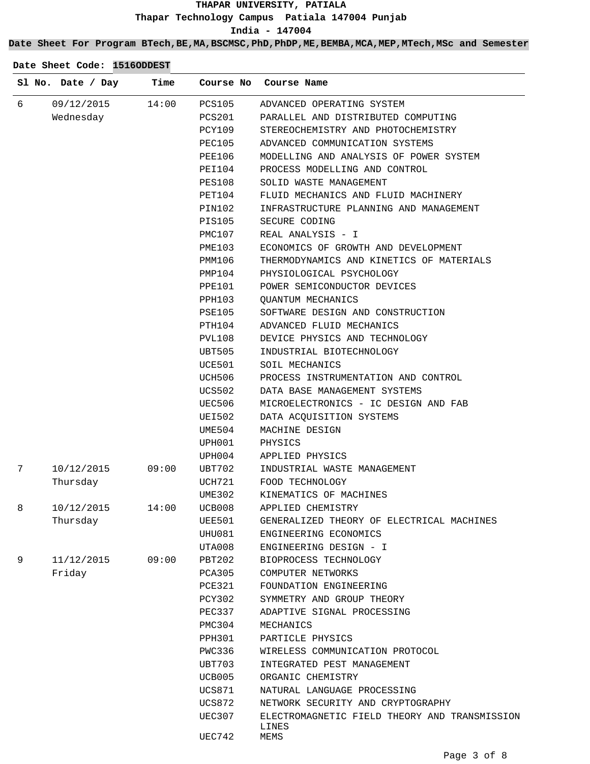## **Date Sheet For Program BTech,BE,MA,BSCMSC,PhD,PhDP,ME,BEMBA,MCA,MEP,MTech,MSc and Semester**

|   | Sl No. Date / Day | Time  |               | Course No Course Name                                  |
|---|-------------------|-------|---------------|--------------------------------------------------------|
| 6 | 09/12/2015        | 14:00 | <b>PCS105</b> | ADVANCED OPERATING SYSTEM                              |
|   | Wednesday         |       | PCS201        | PARALLEL AND DISTRIBUTED COMPUTING                     |
|   |                   |       | PCY109        | STEREOCHEMISTRY AND PHOTOCHEMISTRY                     |
|   |                   |       | PEC105        | ADVANCED COMMUNICATION SYSTEMS                         |
|   |                   |       | PEE106        | MODELLING AND ANALYSIS OF POWER SYSTEM                 |
|   |                   |       | PEI104        | PROCESS MODELLING AND CONTROL                          |
|   |                   |       | <b>PES108</b> | SOLID WASTE MANAGEMENT                                 |
|   |                   |       | PET104        | FLUID MECHANICS AND FLUID MACHINERY                    |
|   |                   |       | PIN102        | INFRASTRUCTURE PLANNING AND MANAGEMENT                 |
|   |                   |       | PIS105        | SECURE CODING                                          |
|   |                   |       | PMC107        | REAL ANALYSIS - I                                      |
|   |                   |       | PME103        | ECONOMICS OF GROWTH AND DEVELOPMENT                    |
|   |                   |       | PMM106        | THERMODYNAMICS AND KINETICS OF MATERIALS               |
|   |                   |       | PMP104        | PHYSIOLOGICAL PSYCHOLOGY                               |
|   |                   |       | <b>PPE101</b> | POWER SEMICONDUCTOR DEVICES                            |
|   |                   |       | PPH103        | <b>QUANTUM MECHANICS</b>                               |
|   |                   |       | PSE105        | SOFTWARE DESIGN AND CONSTRUCTION                       |
|   |                   |       | PTH104        | ADVANCED FLUID MECHANICS                               |
|   |                   |       | PVL108        | DEVICE PHYSICS AND TECHNOLOGY                          |
|   |                   |       | UBT505        | INDUSTRIAL BIOTECHNOLOGY                               |
|   |                   |       | UCE501        | SOIL MECHANICS                                         |
|   |                   |       | UCH506        | PROCESS INSTRUMENTATION AND CONTROL                    |
|   |                   |       | UCS502        | DATA BASE MANAGEMENT SYSTEMS                           |
|   |                   |       | UEC506        | MICROELECTRONICS - IC DESIGN AND FAB                   |
|   |                   |       | UEI502        | DATA ACQUISITION SYSTEMS                               |
|   |                   |       | UME504        | MACHINE DESIGN                                         |
|   |                   |       | UPH001        | PHYSICS                                                |
|   |                   |       | UPH004        | APPLIED PHYSICS                                        |
| 7 | 10/12/2015        | 09:00 | UBT702        | INDUSTRIAL WASTE MANAGEMENT                            |
|   | Thursday          |       | UCH721        | FOOD TECHNOLOGY                                        |
|   |                   |       | UME302        | KINEMATICS OF MACHINES                                 |
| 8 | 10/12/2015        | 14:00 | UCB008        | APPLIED CHEMISTRY                                      |
|   | Thursday          |       | UEE501        | GENERALIZED THEORY OF ELECTRICAL MACHINES              |
|   |                   |       | UHU081        | ENGINEERING ECONOMICS                                  |
|   |                   |       | UTA008        | ENGINEERING DESIGN - I                                 |
| 9 | 11/12/2015        | 09:00 | PBT202        | BIOPROCESS TECHNOLOGY                                  |
|   | Friday            |       | PCA305        | COMPUTER NETWORKS                                      |
|   |                   |       | <b>PCE321</b> | FOUNDATION ENGINEERING                                 |
|   |                   |       | PCY302        | SYMMETRY AND GROUP THEORY                              |
|   |                   |       | PEC337        | ADAPTIVE SIGNAL PROCESSING                             |
|   |                   |       | PMC304        | MECHANICS                                              |
|   |                   |       | <b>PPH301</b> | PARTICLE PHYSICS                                       |
|   |                   |       | PWC336        | WIRELESS COMMUNICATION PROTOCOL                        |
|   |                   |       | UBT703        | INTEGRATED PEST MANAGEMENT                             |
|   |                   |       | UCB005        | ORGANIC CHEMISTRY                                      |
|   |                   |       | <b>UCS871</b> | NATURAL LANGUAGE PROCESSING                            |
|   |                   |       | <b>UCS872</b> | NETWORK SECURITY AND CRYPTOGRAPHY                      |
|   |                   |       | <b>UEC307</b> | ELECTROMAGNETIC FIELD THEORY AND TRANSMISSION<br>LINES |
|   |                   |       | <b>UEC742</b> | MEMS                                                   |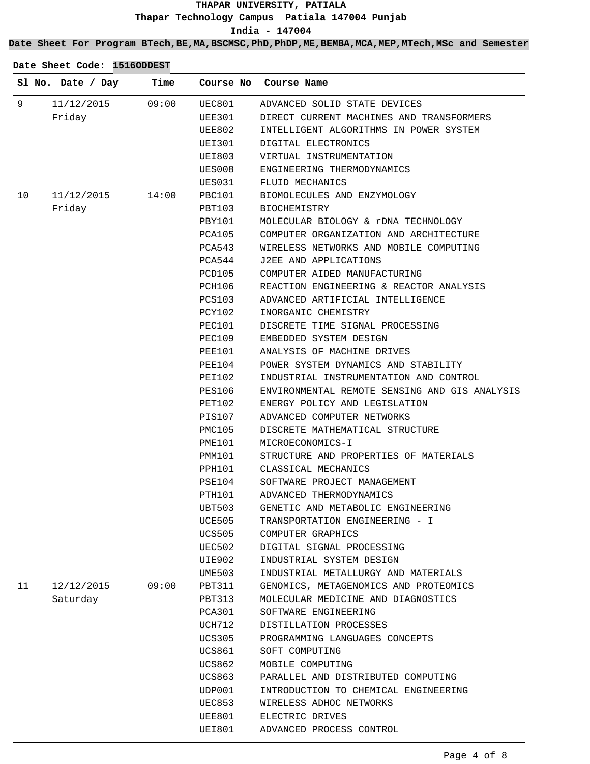**Date Sheet For Program BTech,BE,MA,BSCMSC,PhD,PhDP,ME,BEMBA,MCA,MEP,MTech,MSc and Semester**

| Date Sheet Code: 1516ODDEST |  |  |  |  |
|-----------------------------|--|--|--|--|
|-----------------------------|--|--|--|--|

| 9<br>09:00<br>11/12/2015<br>UEC801<br>ADVANCED SOLID STATE DEVICES<br>Friday<br>UEE301<br>DIRECT CURRENT MACHINES AND TRANSFORMERS<br>UEE802<br>INTELLIGENT ALGORITHMS IN POWER SYSTEM<br>UEI301<br>DIGITAL ELECTRONICS<br>UEI803<br>VIRTUAL INSTRUMENTATION<br>UES008<br>ENGINEERING THERMODYNAMICS<br>UES031<br>FLUID MECHANICS<br>11/12/2015<br>14:00<br>10<br>PBC101<br>BIOMOLECULES AND ENZYMOLOGY<br>Friday<br>PBT103<br><b>BIOCHEMISTRY</b><br>PBY101<br>MOLECULAR BIOLOGY & rDNA TECHNOLOGY<br>COMPUTER ORGANIZATION AND ARCHITECTURE<br>PCA105<br>PCA543<br>WIRELESS NETWORKS AND MOBILE COMPUTING<br>PCA544<br>J2EE AND APPLICATIONS<br>COMPUTER AIDED MANUFACTURING<br>PCD105<br>PCH106<br>REACTION ENGINEERING & REACTOR ANALYSIS<br>PCS103<br>ADVANCED ARTIFICIAL INTELLIGENCE<br>PCY102<br>INORGANIC CHEMISTRY<br>PEC101<br>DISCRETE TIME SIGNAL PROCESSING<br>PEC109<br>EMBEDDED SYSTEM DESIGN<br>ANALYSIS OF MACHINE DRIVES<br>PEE101<br>PEE104<br>POWER SYSTEM DYNAMICS AND STABILITY<br>PEI102<br>INDUSTRIAL INSTRUMENTATION AND CONTROL<br>ENVIRONMENTAL REMOTE SENSING AND GIS ANALYSIS<br>PES106<br>ENERGY POLICY AND LEGISLATION<br>PET102<br>PIS107<br>ADVANCED COMPUTER NETWORKS<br>PMC105<br>DISCRETE MATHEMATICAL STRUCTURE<br>PME101<br>MICROECONOMICS-I<br>PMM101<br>STRUCTURE AND PROPERTIES OF MATERIALS<br>PPH101<br>CLASSICAL MECHANICS<br>PSE104<br>SOFTWARE PROJECT MANAGEMENT<br>PTH101<br>ADVANCED THERMODYNAMICS<br>UBT503<br>GENETIC AND METABOLIC ENGINEERING<br>UCE505<br>TRANSPORTATION ENGINEERING - I<br>UCS505<br>COMPUTER GRAPHICS<br>UEC502<br>DIGITAL SIGNAL PROCESSING<br>UIE902<br>INDUSTRIAL SYSTEM DESIGN<br>UME503<br>INDUSTRIAL METALLURGY AND MATERIALS<br>11<br>12/12/2015<br>09:00<br>PBT311<br>GENOMICS, METAGENOMICS AND PROTEOMICS<br>Saturday<br>PBT313<br>MOLECULAR MEDICINE AND DIAGNOSTICS<br>PCA301<br>SOFTWARE ENGINEERING<br>UCH712<br>DISTILLATION PROCESSES<br>UCS305<br>PROGRAMMING LANGUAGES CONCEPTS<br>UCS861<br>SOFT COMPUTING<br>UCS862<br>MOBILE COMPUTING<br>UCS863<br>PARALLEL AND DISTRIBUTED COMPUTING<br>UDP001<br>INTRODUCTION TO CHEMICAL ENGINEERING<br>UEC853<br>WIRELESS ADHOC NETWORKS<br>UEE801<br>ELECTRIC DRIVES | Sl No. Date / Day | Time | Course No | Course Name |
|-----------------------------------------------------------------------------------------------------------------------------------------------------------------------------------------------------------------------------------------------------------------------------------------------------------------------------------------------------------------------------------------------------------------------------------------------------------------------------------------------------------------------------------------------------------------------------------------------------------------------------------------------------------------------------------------------------------------------------------------------------------------------------------------------------------------------------------------------------------------------------------------------------------------------------------------------------------------------------------------------------------------------------------------------------------------------------------------------------------------------------------------------------------------------------------------------------------------------------------------------------------------------------------------------------------------------------------------------------------------------------------------------------------------------------------------------------------------------------------------------------------------------------------------------------------------------------------------------------------------------------------------------------------------------------------------------------------------------------------------------------------------------------------------------------------------------------------------------------------------------------------------------------------------------------------------------------------------------------------------------------------------------------------------------------------------------------------------------------------------------------------------------------------------------------------------------------------|-------------------|------|-----------|-------------|
|                                                                                                                                                                                                                                                                                                                                                                                                                                                                                                                                                                                                                                                                                                                                                                                                                                                                                                                                                                                                                                                                                                                                                                                                                                                                                                                                                                                                                                                                                                                                                                                                                                                                                                                                                                                                                                                                                                                                                                                                                                                                                                                                                                                                           |                   |      |           |             |
|                                                                                                                                                                                                                                                                                                                                                                                                                                                                                                                                                                                                                                                                                                                                                                                                                                                                                                                                                                                                                                                                                                                                                                                                                                                                                                                                                                                                                                                                                                                                                                                                                                                                                                                                                                                                                                                                                                                                                                                                                                                                                                                                                                                                           |                   |      |           |             |
|                                                                                                                                                                                                                                                                                                                                                                                                                                                                                                                                                                                                                                                                                                                                                                                                                                                                                                                                                                                                                                                                                                                                                                                                                                                                                                                                                                                                                                                                                                                                                                                                                                                                                                                                                                                                                                                                                                                                                                                                                                                                                                                                                                                                           |                   |      |           |             |
|                                                                                                                                                                                                                                                                                                                                                                                                                                                                                                                                                                                                                                                                                                                                                                                                                                                                                                                                                                                                                                                                                                                                                                                                                                                                                                                                                                                                                                                                                                                                                                                                                                                                                                                                                                                                                                                                                                                                                                                                                                                                                                                                                                                                           |                   |      |           |             |
|                                                                                                                                                                                                                                                                                                                                                                                                                                                                                                                                                                                                                                                                                                                                                                                                                                                                                                                                                                                                                                                                                                                                                                                                                                                                                                                                                                                                                                                                                                                                                                                                                                                                                                                                                                                                                                                                                                                                                                                                                                                                                                                                                                                                           |                   |      |           |             |
|                                                                                                                                                                                                                                                                                                                                                                                                                                                                                                                                                                                                                                                                                                                                                                                                                                                                                                                                                                                                                                                                                                                                                                                                                                                                                                                                                                                                                                                                                                                                                                                                                                                                                                                                                                                                                                                                                                                                                                                                                                                                                                                                                                                                           |                   |      |           |             |
|                                                                                                                                                                                                                                                                                                                                                                                                                                                                                                                                                                                                                                                                                                                                                                                                                                                                                                                                                                                                                                                                                                                                                                                                                                                                                                                                                                                                                                                                                                                                                                                                                                                                                                                                                                                                                                                                                                                                                                                                                                                                                                                                                                                                           |                   |      |           |             |
|                                                                                                                                                                                                                                                                                                                                                                                                                                                                                                                                                                                                                                                                                                                                                                                                                                                                                                                                                                                                                                                                                                                                                                                                                                                                                                                                                                                                                                                                                                                                                                                                                                                                                                                                                                                                                                                                                                                                                                                                                                                                                                                                                                                                           |                   |      |           |             |
|                                                                                                                                                                                                                                                                                                                                                                                                                                                                                                                                                                                                                                                                                                                                                                                                                                                                                                                                                                                                                                                                                                                                                                                                                                                                                                                                                                                                                                                                                                                                                                                                                                                                                                                                                                                                                                                                                                                                                                                                                                                                                                                                                                                                           |                   |      |           |             |
|                                                                                                                                                                                                                                                                                                                                                                                                                                                                                                                                                                                                                                                                                                                                                                                                                                                                                                                                                                                                                                                                                                                                                                                                                                                                                                                                                                                                                                                                                                                                                                                                                                                                                                                                                                                                                                                                                                                                                                                                                                                                                                                                                                                                           |                   |      |           |             |
|                                                                                                                                                                                                                                                                                                                                                                                                                                                                                                                                                                                                                                                                                                                                                                                                                                                                                                                                                                                                                                                                                                                                                                                                                                                                                                                                                                                                                                                                                                                                                                                                                                                                                                                                                                                                                                                                                                                                                                                                                                                                                                                                                                                                           |                   |      |           |             |
|                                                                                                                                                                                                                                                                                                                                                                                                                                                                                                                                                                                                                                                                                                                                                                                                                                                                                                                                                                                                                                                                                                                                                                                                                                                                                                                                                                                                                                                                                                                                                                                                                                                                                                                                                                                                                                                                                                                                                                                                                                                                                                                                                                                                           |                   |      |           |             |
|                                                                                                                                                                                                                                                                                                                                                                                                                                                                                                                                                                                                                                                                                                                                                                                                                                                                                                                                                                                                                                                                                                                                                                                                                                                                                                                                                                                                                                                                                                                                                                                                                                                                                                                                                                                                                                                                                                                                                                                                                                                                                                                                                                                                           |                   |      |           |             |
|                                                                                                                                                                                                                                                                                                                                                                                                                                                                                                                                                                                                                                                                                                                                                                                                                                                                                                                                                                                                                                                                                                                                                                                                                                                                                                                                                                                                                                                                                                                                                                                                                                                                                                                                                                                                                                                                                                                                                                                                                                                                                                                                                                                                           |                   |      |           |             |
|                                                                                                                                                                                                                                                                                                                                                                                                                                                                                                                                                                                                                                                                                                                                                                                                                                                                                                                                                                                                                                                                                                                                                                                                                                                                                                                                                                                                                                                                                                                                                                                                                                                                                                                                                                                                                                                                                                                                                                                                                                                                                                                                                                                                           |                   |      |           |             |
|                                                                                                                                                                                                                                                                                                                                                                                                                                                                                                                                                                                                                                                                                                                                                                                                                                                                                                                                                                                                                                                                                                                                                                                                                                                                                                                                                                                                                                                                                                                                                                                                                                                                                                                                                                                                                                                                                                                                                                                                                                                                                                                                                                                                           |                   |      |           |             |
|                                                                                                                                                                                                                                                                                                                                                                                                                                                                                                                                                                                                                                                                                                                                                                                                                                                                                                                                                                                                                                                                                                                                                                                                                                                                                                                                                                                                                                                                                                                                                                                                                                                                                                                                                                                                                                                                                                                                                                                                                                                                                                                                                                                                           |                   |      |           |             |
|                                                                                                                                                                                                                                                                                                                                                                                                                                                                                                                                                                                                                                                                                                                                                                                                                                                                                                                                                                                                                                                                                                                                                                                                                                                                                                                                                                                                                                                                                                                                                                                                                                                                                                                                                                                                                                                                                                                                                                                                                                                                                                                                                                                                           |                   |      |           |             |
|                                                                                                                                                                                                                                                                                                                                                                                                                                                                                                                                                                                                                                                                                                                                                                                                                                                                                                                                                                                                                                                                                                                                                                                                                                                                                                                                                                                                                                                                                                                                                                                                                                                                                                                                                                                                                                                                                                                                                                                                                                                                                                                                                                                                           |                   |      |           |             |
|                                                                                                                                                                                                                                                                                                                                                                                                                                                                                                                                                                                                                                                                                                                                                                                                                                                                                                                                                                                                                                                                                                                                                                                                                                                                                                                                                                                                                                                                                                                                                                                                                                                                                                                                                                                                                                                                                                                                                                                                                                                                                                                                                                                                           |                   |      |           |             |
|                                                                                                                                                                                                                                                                                                                                                                                                                                                                                                                                                                                                                                                                                                                                                                                                                                                                                                                                                                                                                                                                                                                                                                                                                                                                                                                                                                                                                                                                                                                                                                                                                                                                                                                                                                                                                                                                                                                                                                                                                                                                                                                                                                                                           |                   |      |           |             |
|                                                                                                                                                                                                                                                                                                                                                                                                                                                                                                                                                                                                                                                                                                                                                                                                                                                                                                                                                                                                                                                                                                                                                                                                                                                                                                                                                                                                                                                                                                                                                                                                                                                                                                                                                                                                                                                                                                                                                                                                                                                                                                                                                                                                           |                   |      |           |             |
|                                                                                                                                                                                                                                                                                                                                                                                                                                                                                                                                                                                                                                                                                                                                                                                                                                                                                                                                                                                                                                                                                                                                                                                                                                                                                                                                                                                                                                                                                                                                                                                                                                                                                                                                                                                                                                                                                                                                                                                                                                                                                                                                                                                                           |                   |      |           |             |
|                                                                                                                                                                                                                                                                                                                                                                                                                                                                                                                                                                                                                                                                                                                                                                                                                                                                                                                                                                                                                                                                                                                                                                                                                                                                                                                                                                                                                                                                                                                                                                                                                                                                                                                                                                                                                                                                                                                                                                                                                                                                                                                                                                                                           |                   |      |           |             |
|                                                                                                                                                                                                                                                                                                                                                                                                                                                                                                                                                                                                                                                                                                                                                                                                                                                                                                                                                                                                                                                                                                                                                                                                                                                                                                                                                                                                                                                                                                                                                                                                                                                                                                                                                                                                                                                                                                                                                                                                                                                                                                                                                                                                           |                   |      |           |             |
|                                                                                                                                                                                                                                                                                                                                                                                                                                                                                                                                                                                                                                                                                                                                                                                                                                                                                                                                                                                                                                                                                                                                                                                                                                                                                                                                                                                                                                                                                                                                                                                                                                                                                                                                                                                                                                                                                                                                                                                                                                                                                                                                                                                                           |                   |      |           |             |
|                                                                                                                                                                                                                                                                                                                                                                                                                                                                                                                                                                                                                                                                                                                                                                                                                                                                                                                                                                                                                                                                                                                                                                                                                                                                                                                                                                                                                                                                                                                                                                                                                                                                                                                                                                                                                                                                                                                                                                                                                                                                                                                                                                                                           |                   |      |           |             |
|                                                                                                                                                                                                                                                                                                                                                                                                                                                                                                                                                                                                                                                                                                                                                                                                                                                                                                                                                                                                                                                                                                                                                                                                                                                                                                                                                                                                                                                                                                                                                                                                                                                                                                                                                                                                                                                                                                                                                                                                                                                                                                                                                                                                           |                   |      |           |             |
|                                                                                                                                                                                                                                                                                                                                                                                                                                                                                                                                                                                                                                                                                                                                                                                                                                                                                                                                                                                                                                                                                                                                                                                                                                                                                                                                                                                                                                                                                                                                                                                                                                                                                                                                                                                                                                                                                                                                                                                                                                                                                                                                                                                                           |                   |      |           |             |
|                                                                                                                                                                                                                                                                                                                                                                                                                                                                                                                                                                                                                                                                                                                                                                                                                                                                                                                                                                                                                                                                                                                                                                                                                                                                                                                                                                                                                                                                                                                                                                                                                                                                                                                                                                                                                                                                                                                                                                                                                                                                                                                                                                                                           |                   |      |           |             |
|                                                                                                                                                                                                                                                                                                                                                                                                                                                                                                                                                                                                                                                                                                                                                                                                                                                                                                                                                                                                                                                                                                                                                                                                                                                                                                                                                                                                                                                                                                                                                                                                                                                                                                                                                                                                                                                                                                                                                                                                                                                                                                                                                                                                           |                   |      |           |             |
|                                                                                                                                                                                                                                                                                                                                                                                                                                                                                                                                                                                                                                                                                                                                                                                                                                                                                                                                                                                                                                                                                                                                                                                                                                                                                                                                                                                                                                                                                                                                                                                                                                                                                                                                                                                                                                                                                                                                                                                                                                                                                                                                                                                                           |                   |      |           |             |
|                                                                                                                                                                                                                                                                                                                                                                                                                                                                                                                                                                                                                                                                                                                                                                                                                                                                                                                                                                                                                                                                                                                                                                                                                                                                                                                                                                                                                                                                                                                                                                                                                                                                                                                                                                                                                                                                                                                                                                                                                                                                                                                                                                                                           |                   |      |           |             |
|                                                                                                                                                                                                                                                                                                                                                                                                                                                                                                                                                                                                                                                                                                                                                                                                                                                                                                                                                                                                                                                                                                                                                                                                                                                                                                                                                                                                                                                                                                                                                                                                                                                                                                                                                                                                                                                                                                                                                                                                                                                                                                                                                                                                           |                   |      |           |             |
|                                                                                                                                                                                                                                                                                                                                                                                                                                                                                                                                                                                                                                                                                                                                                                                                                                                                                                                                                                                                                                                                                                                                                                                                                                                                                                                                                                                                                                                                                                                                                                                                                                                                                                                                                                                                                                                                                                                                                                                                                                                                                                                                                                                                           |                   |      |           |             |
|                                                                                                                                                                                                                                                                                                                                                                                                                                                                                                                                                                                                                                                                                                                                                                                                                                                                                                                                                                                                                                                                                                                                                                                                                                                                                                                                                                                                                                                                                                                                                                                                                                                                                                                                                                                                                                                                                                                                                                                                                                                                                                                                                                                                           |                   |      |           |             |
|                                                                                                                                                                                                                                                                                                                                                                                                                                                                                                                                                                                                                                                                                                                                                                                                                                                                                                                                                                                                                                                                                                                                                                                                                                                                                                                                                                                                                                                                                                                                                                                                                                                                                                                                                                                                                                                                                                                                                                                                                                                                                                                                                                                                           |                   |      |           |             |
|                                                                                                                                                                                                                                                                                                                                                                                                                                                                                                                                                                                                                                                                                                                                                                                                                                                                                                                                                                                                                                                                                                                                                                                                                                                                                                                                                                                                                                                                                                                                                                                                                                                                                                                                                                                                                                                                                                                                                                                                                                                                                                                                                                                                           |                   |      |           |             |
|                                                                                                                                                                                                                                                                                                                                                                                                                                                                                                                                                                                                                                                                                                                                                                                                                                                                                                                                                                                                                                                                                                                                                                                                                                                                                                                                                                                                                                                                                                                                                                                                                                                                                                                                                                                                                                                                                                                                                                                                                                                                                                                                                                                                           |                   |      |           |             |
|                                                                                                                                                                                                                                                                                                                                                                                                                                                                                                                                                                                                                                                                                                                                                                                                                                                                                                                                                                                                                                                                                                                                                                                                                                                                                                                                                                                                                                                                                                                                                                                                                                                                                                                                                                                                                                                                                                                                                                                                                                                                                                                                                                                                           |                   |      |           |             |
|                                                                                                                                                                                                                                                                                                                                                                                                                                                                                                                                                                                                                                                                                                                                                                                                                                                                                                                                                                                                                                                                                                                                                                                                                                                                                                                                                                                                                                                                                                                                                                                                                                                                                                                                                                                                                                                                                                                                                                                                                                                                                                                                                                                                           |                   |      |           |             |
|                                                                                                                                                                                                                                                                                                                                                                                                                                                                                                                                                                                                                                                                                                                                                                                                                                                                                                                                                                                                                                                                                                                                                                                                                                                                                                                                                                                                                                                                                                                                                                                                                                                                                                                                                                                                                                                                                                                                                                                                                                                                                                                                                                                                           |                   |      |           |             |
|                                                                                                                                                                                                                                                                                                                                                                                                                                                                                                                                                                                                                                                                                                                                                                                                                                                                                                                                                                                                                                                                                                                                                                                                                                                                                                                                                                                                                                                                                                                                                                                                                                                                                                                                                                                                                                                                                                                                                                                                                                                                                                                                                                                                           |                   |      |           |             |
|                                                                                                                                                                                                                                                                                                                                                                                                                                                                                                                                                                                                                                                                                                                                                                                                                                                                                                                                                                                                                                                                                                                                                                                                                                                                                                                                                                                                                                                                                                                                                                                                                                                                                                                                                                                                                                                                                                                                                                                                                                                                                                                                                                                                           |                   |      |           |             |
|                                                                                                                                                                                                                                                                                                                                                                                                                                                                                                                                                                                                                                                                                                                                                                                                                                                                                                                                                                                                                                                                                                                                                                                                                                                                                                                                                                                                                                                                                                                                                                                                                                                                                                                                                                                                                                                                                                                                                                                                                                                                                                                                                                                                           |                   |      |           |             |
|                                                                                                                                                                                                                                                                                                                                                                                                                                                                                                                                                                                                                                                                                                                                                                                                                                                                                                                                                                                                                                                                                                                                                                                                                                                                                                                                                                                                                                                                                                                                                                                                                                                                                                                                                                                                                                                                                                                                                                                                                                                                                                                                                                                                           |                   |      |           |             |
|                                                                                                                                                                                                                                                                                                                                                                                                                                                                                                                                                                                                                                                                                                                                                                                                                                                                                                                                                                                                                                                                                                                                                                                                                                                                                                                                                                                                                                                                                                                                                                                                                                                                                                                                                                                                                                                                                                                                                                                                                                                                                                                                                                                                           |                   |      |           |             |
|                                                                                                                                                                                                                                                                                                                                                                                                                                                                                                                                                                                                                                                                                                                                                                                                                                                                                                                                                                                                                                                                                                                                                                                                                                                                                                                                                                                                                                                                                                                                                                                                                                                                                                                                                                                                                                                                                                                                                                                                                                                                                                                                                                                                           |                   |      |           |             |
| UEI801<br>ADVANCED PROCESS CONTROL                                                                                                                                                                                                                                                                                                                                                                                                                                                                                                                                                                                                                                                                                                                                                                                                                                                                                                                                                                                                                                                                                                                                                                                                                                                                                                                                                                                                                                                                                                                                                                                                                                                                                                                                                                                                                                                                                                                                                                                                                                                                                                                                                                        |                   |      |           |             |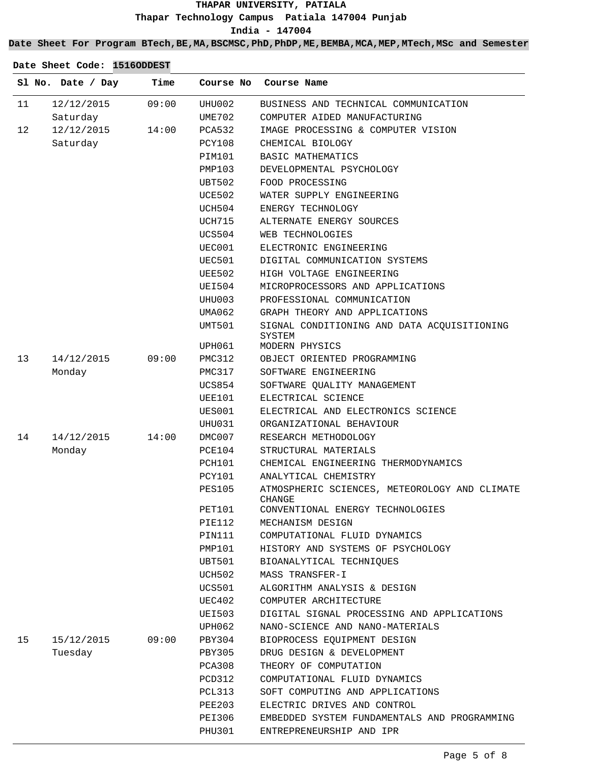## **Date Sheet For Program BTech,BE,MA,BSCMSC,PhD,PhDP,ME,BEMBA,MCA,MEP,MTech,MSc and Semester**

|    | Sl No. Date / Day | Time  | Course No     | Course Name                                             |
|----|-------------------|-------|---------------|---------------------------------------------------------|
| 11 | 12/12/2015        | 09:00 | UHU002        | BUSINESS AND TECHNICAL COMMUNICATION                    |
|    | Saturday          |       | UME702        | COMPUTER AIDED MANUFACTURING                            |
| 12 | 12/12/2015        | 14:00 | PCA532        | IMAGE PROCESSING & COMPUTER VISION                      |
|    | Saturday          |       | PCY108        | CHEMICAL BIOLOGY                                        |
|    |                   |       | PIM101        | BASIC MATHEMATICS                                       |
|    |                   |       | PMP103        | DEVELOPMENTAL PSYCHOLOGY                                |
|    |                   |       | UBT502        | FOOD PROCESSING                                         |
|    |                   |       | UCE502        | WATER SUPPLY ENGINEERING                                |
|    |                   |       | UCH504        | ENERGY TECHNOLOGY                                       |
|    |                   |       | UCH715        | ALTERNATE ENERGY SOURCES                                |
|    |                   |       | UCS504        | WEB TECHNOLOGIES                                        |
|    |                   |       | UEC001        | ELECTRONIC ENGINEERING                                  |
|    |                   |       | UEC501        | DIGITAL COMMUNICATION SYSTEMS                           |
|    |                   |       | <b>UEE502</b> | HIGH VOLTAGE ENGINEERING                                |
|    |                   |       | UEI504        | MICROPROCESSORS AND APPLICATIONS                        |
|    |                   |       | UHU003        | PROFESSIONAL COMMUNICATION                              |
|    |                   |       | UMA062        | GRAPH THEORY AND APPLICATIONS                           |
|    |                   |       | UMT501        | SIGNAL CONDITIONING AND DATA ACQUISITIONING<br>SYSTEM   |
|    |                   |       | UPH061        | MODERN PHYSICS                                          |
| 13 | 14/12/2015        | 09:00 | PMC312        | OBJECT ORIENTED PROGRAMMING                             |
|    | Monday            |       | PMC317        | SOFTWARE ENGINEERING                                    |
|    |                   |       | UCS854        | SOFTWARE QUALITY MANAGEMENT                             |
|    |                   |       | UEE101        | ELECTRICAL SCIENCE                                      |
|    |                   |       | UES001        | ELECTRICAL AND ELECTRONICS SCIENCE                      |
|    |                   |       | UHU031        | ORGANIZATIONAL BEHAVIOUR                                |
| 14 | 14/12/2015        | 14:00 | DMC007        | RESEARCH METHODOLOGY                                    |
|    | Monday            |       | PCE104        | STRUCTURAL MATERIALS                                    |
|    |                   |       | PCH101        | CHEMICAL ENGINEERING THERMODYNAMICS                     |
|    |                   |       | PCY101        | ANALYTICAL CHEMISTRY                                    |
|    |                   |       | <b>PES105</b> | ATMOSPHERIC SCIENCES, METEOROLOGY AND CLIMATE<br>CHANGE |
|    |                   |       | <b>PET101</b> | CONVENTIONAL ENERGY TECHNOLOGIES                        |
|    |                   |       | PIE112        | MECHANISM DESIGN                                        |
|    |                   |       | PIN111        | COMPUTATIONAL FLUID DYNAMICS                            |
|    |                   |       | PMP101        | HISTORY AND SYSTEMS OF PSYCHOLOGY                       |
|    |                   |       | UBT501        | BIOANALYTICAL TECHNIQUES                                |
|    |                   |       | UCH502        | MASS TRANSFER-I                                         |
|    |                   |       | UCS501        | ALGORITHM ANALYSIS & DESIGN                             |
|    |                   |       | UEC402        | COMPUTER ARCHITECTURE                                   |
|    |                   |       | UEI503        | DIGITAL SIGNAL PROCESSING AND APPLICATIONS              |
|    |                   |       | UPH062        | NANO-SCIENCE AND NANO-MATERIALS                         |
| 15 | 15/12/2015        | 09:00 | PBY304        | BIOPROCESS EQUIPMENT DESIGN                             |
|    | Tuesday           |       | PBY305        | DRUG DESIGN & DEVELOPMENT                               |
|    |                   |       | PCA308        | THEORY OF COMPUTATION                                   |
|    |                   |       | PCD312        | COMPUTATIONAL FLUID DYNAMICS                            |
|    |                   |       | PCL313        | SOFT COMPUTING AND APPLICATIONS                         |
|    |                   |       | PEE203        | ELECTRIC DRIVES AND CONTROL                             |
|    |                   |       | PEI306        | EMBEDDED SYSTEM FUNDAMENTALS AND PROGRAMMING            |
|    |                   |       | PHU301        | ENTREPRENEURSHIP AND IPR                                |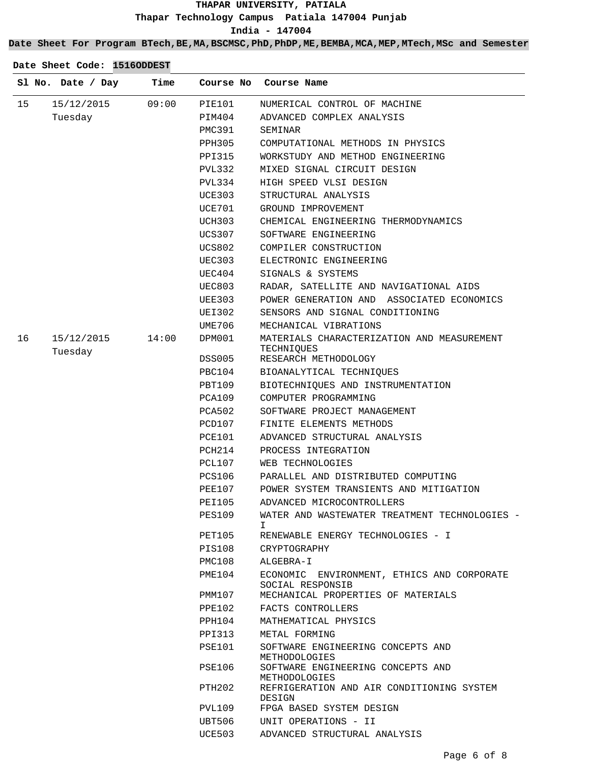## **Date Sheet For Program BTech,BE,MA,BSCMSC,PhD,PhDP,ME,BEMBA,MCA,MEP,MTech,MSc and Semester**

|    | Sl No. Date / Day     | Time  | Course No     | Course Name                                                    |
|----|-----------------------|-------|---------------|----------------------------------------------------------------|
| 15 | 15/12/2015            | 09:00 | PIE101        | NUMERICAL CONTROL OF MACHINE                                   |
|    | Tuesday               |       | PIM404        | ADVANCED COMPLEX ANALYSIS                                      |
|    |                       |       | PMC391        | SEMINAR                                                        |
|    |                       |       | PPH305        | COMPUTATIONAL METHODS IN PHYSICS                               |
|    |                       |       | PPI315        | WORKSTUDY AND METHOD ENGINEERING                               |
|    |                       |       | PVL332        | MIXED SIGNAL CIRCUIT DESIGN                                    |
|    |                       |       | PVL334        | HIGH SPEED VLSI DESIGN                                         |
|    |                       |       | UCE303        | STRUCTURAL ANALYSIS                                            |
|    |                       |       | UCE701        | GROUND IMPROVEMENT                                             |
|    |                       |       | UCH303        | CHEMICAL ENGINEERING THERMODYNAMICS                            |
|    |                       |       | UCS307        | SOFTWARE ENGINEERING                                           |
|    |                       |       | UCS802        | COMPILER CONSTRUCTION                                          |
|    |                       |       | UEC303        | ELECTRONIC ENGINEERING                                         |
|    |                       |       | UEC404        | SIGNALS & SYSTEMS                                              |
|    |                       |       | <b>UEC803</b> | RADAR, SATELLITE AND NAVIGATIONAL AIDS                         |
|    |                       |       | UEE303        | POWER GENERATION AND ASSOCIATED ECONOMICS                      |
|    |                       |       | UEI302        | SENSORS AND SIGNAL CONDITIONING                                |
|    |                       |       | UME706        | MECHANICAL VIBRATIONS                                          |
| 16 | 15/12/2015<br>Tuesday | 14:00 | DPM001        | MATERIALS CHARACTERIZATION AND MEASUREMENT<br>TECHNIOUES       |
|    |                       |       | DSS005        | RESEARCH METHODOLOGY                                           |
|    |                       |       | PBC104        | BIOANALYTICAL TECHNIQUES                                       |
|    |                       |       | PBT109        | BIOTECHNIQUES AND INSTRUMENTATION                              |
|    |                       |       | PCA109        | COMPUTER PROGRAMMING                                           |
|    |                       |       | PCA502        | SOFTWARE PROJECT MANAGEMENT                                    |
|    |                       |       | PCD107        | FINITE ELEMENTS METHODS                                        |
|    |                       |       | PCE101        | ADVANCED STRUCTURAL ANALYSIS                                   |
|    |                       |       | PCH214        | PROCESS INTEGRATION                                            |
|    |                       |       | PCL107        | WEB TECHNOLOGIES                                               |
|    |                       |       | PCS106        | PARALLEL AND DISTRIBUTED COMPUTING                             |
|    |                       |       | PEE107        | POWER SYSTEM TRANSIENTS AND MITIGATION                         |
|    |                       |       | PEI105        | ADVANCED MICROCONTROLLERS                                      |
|    |                       |       | PES109        | WATER AND WASTEWATER TREATMENT TECHNOLOGIES -<br>T.            |
|    |                       |       | PET105        | RENEWABLE ENERGY TECHNOLOGIES - I                              |
|    |                       |       | PIS108        | CRYPTOGRAPHY                                                   |
|    |                       |       | PMC108        | ALGEBRA-I                                                      |
|    |                       |       | PME104        | ECONOMIC ENVIRONMENT, ETHICS AND CORPORATE<br>SOCIAL RESPONSIB |
|    |                       |       | PMM107        | MECHANICAL PROPERTIES OF MATERIALS                             |
|    |                       |       | PPE102        | FACTS CONTROLLERS                                              |
|    |                       |       | PPH104        | MATHEMATICAL PHYSICS                                           |
|    |                       |       | PPI313        | METAL FORMING                                                  |
|    |                       |       | PSE101        | SOFTWARE ENGINEERING CONCEPTS AND<br>METHODOLOGIES             |
|    |                       |       | PSE106        | SOFTWARE ENGINEERING CONCEPTS AND<br>METHODOLOGIES             |
|    |                       |       | PTH202        | REFRIGERATION AND AIR CONDITIONING SYSTEM<br>DESIGN            |
|    |                       |       | PVL109        | FPGA BASED SYSTEM DESIGN                                       |
|    |                       |       | UBT506        | UNIT OPERATIONS - II                                           |
|    |                       |       | UCE503        | ADVANCED STRUCTURAL ANALYSIS                                   |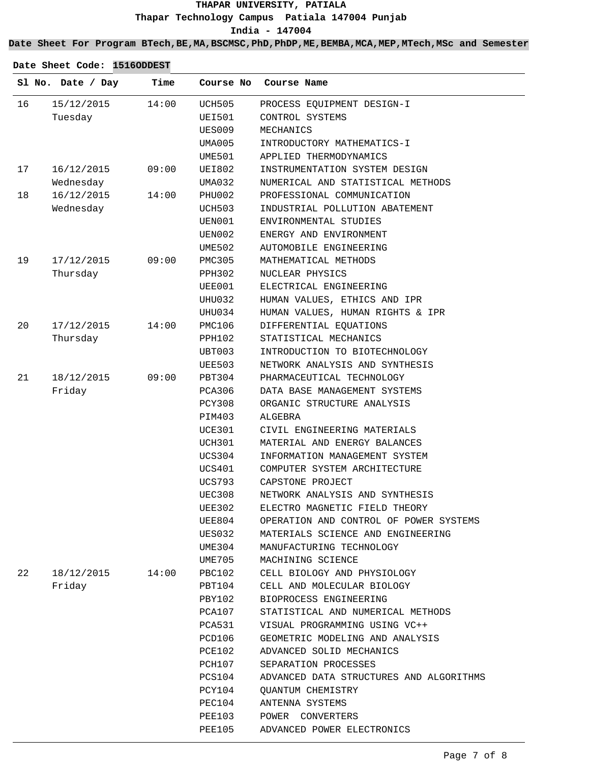## **Date Sheet For Program BTech,BE,MA,BSCMSC,PhD,PhDP,ME,BEMBA,MCA,MEP,MTech,MSc and Semester**

| 15/12/2015<br>14:00<br><b>UCH505</b><br>16<br>PROCESS EQUIPMENT DESIGN-I<br>Tuesday<br><b>UEI501</b><br>CONTROL SYSTEMS<br>UES009<br>MECHANICS<br>UMA005<br>INTRODUCTORY MATHEMATICS-I<br>UME501<br>APPLIED THERMODYNAMICS<br>17<br>INSTRUMENTATION SYSTEM DESIGN<br>16/12/2015<br>09:00<br>UEI802<br>Wednesday<br>NUMERICAL AND STATISTICAL METHODS<br>UMA032<br>18<br>16/12/2015<br>14:00<br>PHU002<br>PROFESSIONAL COMMUNICATION<br>Wednesday<br>UCH503<br>INDUSTRIAL POLLUTION ABATEMENT<br>ENVIRONMENTAL STUDIES<br>UEN001<br>UEN002<br>ENERGY AND ENVIRONMENT<br>UME502<br>AUTOMOBILE ENGINEERING<br>19<br>17/12/2015<br>09:00<br>PMC305<br>MATHEMATICAL METHODS<br>Thursday<br>PPH302<br>NUCLEAR PHYSICS<br>UEE001<br>ELECTRICAL ENGINEERING<br>UHU032<br>HUMAN VALUES, ETHICS AND IPR<br>UHU034<br>HUMAN VALUES, HUMAN RIGHTS & IPR<br>20<br>17/12/2015<br>14:00<br>PMC106<br>DIFFERENTIAL EQUATIONS<br>Thursday<br>STATISTICAL MECHANICS<br>PPH102<br>UBT003<br>INTRODUCTION TO BIOTECHNOLOGY<br>UEE503<br>NETWORK ANALYSIS AND SYNTHESIS<br>21<br>18/12/2015<br>09:00<br>PBT304<br>PHARMACEUTICAL TECHNOLOGY<br>Friday<br>PCA306<br>DATA BASE MANAGEMENT SYSTEMS<br>PCY308<br>ORGANIC STRUCTURE ANALYSIS<br>PIM403<br>ALGEBRA<br>UCE301<br>CIVIL ENGINEERING MATERIALS<br>UCH301<br>MATERIAL AND ENERGY BALANCES<br>UCS304<br>INFORMATION MANAGEMENT SYSTEM<br>UCS401<br>COMPUTER SYSTEM ARCHITECTURE<br>UCS793<br>CAPSTONE PROJECT<br>NETWORK ANALYSIS AND SYNTHESIS<br>UEC308<br><b>UEE302</b><br>ELECTRO MAGNETIC FIELD THEORY<br>UEE804<br>OPERATION AND CONTROL OF POWER SYSTEMS<br>UES032<br>MATERIALS SCIENCE AND ENGINEERING<br>UME304<br>MANUFACTURING TECHNOLOGY<br>UME705<br>MACHINING SCIENCE<br>22<br>18/12/2015<br>14:00<br>PBC102<br>CELL BIOLOGY AND PHYSIOLOGY<br>Friday<br>PBT104<br>CELL AND MOLECULAR BIOLOGY<br>PBY102<br>BIOPROCESS ENGINEERING<br>PCA107<br>STATISTICAL AND NUMERICAL METHODS<br>PCA531<br>VISUAL PROGRAMMING USING VC++<br>GEOMETRIC MODELING AND ANALYSIS<br>PCD106<br>PCE102<br>ADVANCED SOLID MECHANICS<br>PCH107<br>SEPARATION PROCESSES<br>PCS104<br>ADVANCED DATA STRUCTURES AND ALGORITHMS<br>PCY104<br>QUANTUM CHEMISTRY<br>PEC104<br>ANTENNA SYSTEMS<br>PEE103<br>POWER CONVERTERS | Sl No. Date / Day | Time | Course No     | Course Name                |
|-----------------------------------------------------------------------------------------------------------------------------------------------------------------------------------------------------------------------------------------------------------------------------------------------------------------------------------------------------------------------------------------------------------------------------------------------------------------------------------------------------------------------------------------------------------------------------------------------------------------------------------------------------------------------------------------------------------------------------------------------------------------------------------------------------------------------------------------------------------------------------------------------------------------------------------------------------------------------------------------------------------------------------------------------------------------------------------------------------------------------------------------------------------------------------------------------------------------------------------------------------------------------------------------------------------------------------------------------------------------------------------------------------------------------------------------------------------------------------------------------------------------------------------------------------------------------------------------------------------------------------------------------------------------------------------------------------------------------------------------------------------------------------------------------------------------------------------------------------------------------------------------------------------------------------------------------------------------------------------------------------------------------------------------------------------------------------------------------------------------------------------------------------------------------------------------------------------------------------------------------|-------------------|------|---------------|----------------------------|
|                                                                                                                                                                                                                                                                                                                                                                                                                                                                                                                                                                                                                                                                                                                                                                                                                                                                                                                                                                                                                                                                                                                                                                                                                                                                                                                                                                                                                                                                                                                                                                                                                                                                                                                                                                                                                                                                                                                                                                                                                                                                                                                                                                                                                                               |                   |      |               |                            |
|                                                                                                                                                                                                                                                                                                                                                                                                                                                                                                                                                                                                                                                                                                                                                                                                                                                                                                                                                                                                                                                                                                                                                                                                                                                                                                                                                                                                                                                                                                                                                                                                                                                                                                                                                                                                                                                                                                                                                                                                                                                                                                                                                                                                                                               |                   |      |               |                            |
|                                                                                                                                                                                                                                                                                                                                                                                                                                                                                                                                                                                                                                                                                                                                                                                                                                                                                                                                                                                                                                                                                                                                                                                                                                                                                                                                                                                                                                                                                                                                                                                                                                                                                                                                                                                                                                                                                                                                                                                                                                                                                                                                                                                                                                               |                   |      |               |                            |
|                                                                                                                                                                                                                                                                                                                                                                                                                                                                                                                                                                                                                                                                                                                                                                                                                                                                                                                                                                                                                                                                                                                                                                                                                                                                                                                                                                                                                                                                                                                                                                                                                                                                                                                                                                                                                                                                                                                                                                                                                                                                                                                                                                                                                                               |                   |      |               |                            |
|                                                                                                                                                                                                                                                                                                                                                                                                                                                                                                                                                                                                                                                                                                                                                                                                                                                                                                                                                                                                                                                                                                                                                                                                                                                                                                                                                                                                                                                                                                                                                                                                                                                                                                                                                                                                                                                                                                                                                                                                                                                                                                                                                                                                                                               |                   |      |               |                            |
|                                                                                                                                                                                                                                                                                                                                                                                                                                                                                                                                                                                                                                                                                                                                                                                                                                                                                                                                                                                                                                                                                                                                                                                                                                                                                                                                                                                                                                                                                                                                                                                                                                                                                                                                                                                                                                                                                                                                                                                                                                                                                                                                                                                                                                               |                   |      |               |                            |
|                                                                                                                                                                                                                                                                                                                                                                                                                                                                                                                                                                                                                                                                                                                                                                                                                                                                                                                                                                                                                                                                                                                                                                                                                                                                                                                                                                                                                                                                                                                                                                                                                                                                                                                                                                                                                                                                                                                                                                                                                                                                                                                                                                                                                                               |                   |      |               |                            |
|                                                                                                                                                                                                                                                                                                                                                                                                                                                                                                                                                                                                                                                                                                                                                                                                                                                                                                                                                                                                                                                                                                                                                                                                                                                                                                                                                                                                                                                                                                                                                                                                                                                                                                                                                                                                                                                                                                                                                                                                                                                                                                                                                                                                                                               |                   |      |               |                            |
|                                                                                                                                                                                                                                                                                                                                                                                                                                                                                                                                                                                                                                                                                                                                                                                                                                                                                                                                                                                                                                                                                                                                                                                                                                                                                                                                                                                                                                                                                                                                                                                                                                                                                                                                                                                                                                                                                                                                                                                                                                                                                                                                                                                                                                               |                   |      |               |                            |
|                                                                                                                                                                                                                                                                                                                                                                                                                                                                                                                                                                                                                                                                                                                                                                                                                                                                                                                                                                                                                                                                                                                                                                                                                                                                                                                                                                                                                                                                                                                                                                                                                                                                                                                                                                                                                                                                                                                                                                                                                                                                                                                                                                                                                                               |                   |      |               |                            |
|                                                                                                                                                                                                                                                                                                                                                                                                                                                                                                                                                                                                                                                                                                                                                                                                                                                                                                                                                                                                                                                                                                                                                                                                                                                                                                                                                                                                                                                                                                                                                                                                                                                                                                                                                                                                                                                                                                                                                                                                                                                                                                                                                                                                                                               |                   |      |               |                            |
|                                                                                                                                                                                                                                                                                                                                                                                                                                                                                                                                                                                                                                                                                                                                                                                                                                                                                                                                                                                                                                                                                                                                                                                                                                                                                                                                                                                                                                                                                                                                                                                                                                                                                                                                                                                                                                                                                                                                                                                                                                                                                                                                                                                                                                               |                   |      |               |                            |
|                                                                                                                                                                                                                                                                                                                                                                                                                                                                                                                                                                                                                                                                                                                                                                                                                                                                                                                                                                                                                                                                                                                                                                                                                                                                                                                                                                                                                                                                                                                                                                                                                                                                                                                                                                                                                                                                                                                                                                                                                                                                                                                                                                                                                                               |                   |      |               |                            |
|                                                                                                                                                                                                                                                                                                                                                                                                                                                                                                                                                                                                                                                                                                                                                                                                                                                                                                                                                                                                                                                                                                                                                                                                                                                                                                                                                                                                                                                                                                                                                                                                                                                                                                                                                                                                                                                                                                                                                                                                                                                                                                                                                                                                                                               |                   |      |               |                            |
|                                                                                                                                                                                                                                                                                                                                                                                                                                                                                                                                                                                                                                                                                                                                                                                                                                                                                                                                                                                                                                                                                                                                                                                                                                                                                                                                                                                                                                                                                                                                                                                                                                                                                                                                                                                                                                                                                                                                                                                                                                                                                                                                                                                                                                               |                   |      |               |                            |
|                                                                                                                                                                                                                                                                                                                                                                                                                                                                                                                                                                                                                                                                                                                                                                                                                                                                                                                                                                                                                                                                                                                                                                                                                                                                                                                                                                                                                                                                                                                                                                                                                                                                                                                                                                                                                                                                                                                                                                                                                                                                                                                                                                                                                                               |                   |      |               |                            |
|                                                                                                                                                                                                                                                                                                                                                                                                                                                                                                                                                                                                                                                                                                                                                                                                                                                                                                                                                                                                                                                                                                                                                                                                                                                                                                                                                                                                                                                                                                                                                                                                                                                                                                                                                                                                                                                                                                                                                                                                                                                                                                                                                                                                                                               |                   |      |               |                            |
|                                                                                                                                                                                                                                                                                                                                                                                                                                                                                                                                                                                                                                                                                                                                                                                                                                                                                                                                                                                                                                                                                                                                                                                                                                                                                                                                                                                                                                                                                                                                                                                                                                                                                                                                                                                                                                                                                                                                                                                                                                                                                                                                                                                                                                               |                   |      |               |                            |
|                                                                                                                                                                                                                                                                                                                                                                                                                                                                                                                                                                                                                                                                                                                                                                                                                                                                                                                                                                                                                                                                                                                                                                                                                                                                                                                                                                                                                                                                                                                                                                                                                                                                                                                                                                                                                                                                                                                                                                                                                                                                                                                                                                                                                                               |                   |      |               |                            |
|                                                                                                                                                                                                                                                                                                                                                                                                                                                                                                                                                                                                                                                                                                                                                                                                                                                                                                                                                                                                                                                                                                                                                                                                                                                                                                                                                                                                                                                                                                                                                                                                                                                                                                                                                                                                                                                                                                                                                                                                                                                                                                                                                                                                                                               |                   |      |               |                            |
|                                                                                                                                                                                                                                                                                                                                                                                                                                                                                                                                                                                                                                                                                                                                                                                                                                                                                                                                                                                                                                                                                                                                                                                                                                                                                                                                                                                                                                                                                                                                                                                                                                                                                                                                                                                                                                                                                                                                                                                                                                                                                                                                                                                                                                               |                   |      |               |                            |
|                                                                                                                                                                                                                                                                                                                                                                                                                                                                                                                                                                                                                                                                                                                                                                                                                                                                                                                                                                                                                                                                                                                                                                                                                                                                                                                                                                                                                                                                                                                                                                                                                                                                                                                                                                                                                                                                                                                                                                                                                                                                                                                                                                                                                                               |                   |      |               |                            |
|                                                                                                                                                                                                                                                                                                                                                                                                                                                                                                                                                                                                                                                                                                                                                                                                                                                                                                                                                                                                                                                                                                                                                                                                                                                                                                                                                                                                                                                                                                                                                                                                                                                                                                                                                                                                                                                                                                                                                                                                                                                                                                                                                                                                                                               |                   |      |               |                            |
|                                                                                                                                                                                                                                                                                                                                                                                                                                                                                                                                                                                                                                                                                                                                                                                                                                                                                                                                                                                                                                                                                                                                                                                                                                                                                                                                                                                                                                                                                                                                                                                                                                                                                                                                                                                                                                                                                                                                                                                                                                                                                                                                                                                                                                               |                   |      |               |                            |
|                                                                                                                                                                                                                                                                                                                                                                                                                                                                                                                                                                                                                                                                                                                                                                                                                                                                                                                                                                                                                                                                                                                                                                                                                                                                                                                                                                                                                                                                                                                                                                                                                                                                                                                                                                                                                                                                                                                                                                                                                                                                                                                                                                                                                                               |                   |      |               |                            |
|                                                                                                                                                                                                                                                                                                                                                                                                                                                                                                                                                                                                                                                                                                                                                                                                                                                                                                                                                                                                                                                                                                                                                                                                                                                                                                                                                                                                                                                                                                                                                                                                                                                                                                                                                                                                                                                                                                                                                                                                                                                                                                                                                                                                                                               |                   |      |               |                            |
|                                                                                                                                                                                                                                                                                                                                                                                                                                                                                                                                                                                                                                                                                                                                                                                                                                                                                                                                                                                                                                                                                                                                                                                                                                                                                                                                                                                                                                                                                                                                                                                                                                                                                                                                                                                                                                                                                                                                                                                                                                                                                                                                                                                                                                               |                   |      |               |                            |
|                                                                                                                                                                                                                                                                                                                                                                                                                                                                                                                                                                                                                                                                                                                                                                                                                                                                                                                                                                                                                                                                                                                                                                                                                                                                                                                                                                                                                                                                                                                                                                                                                                                                                                                                                                                                                                                                                                                                                                                                                                                                                                                                                                                                                                               |                   |      |               |                            |
|                                                                                                                                                                                                                                                                                                                                                                                                                                                                                                                                                                                                                                                                                                                                                                                                                                                                                                                                                                                                                                                                                                                                                                                                                                                                                                                                                                                                                                                                                                                                                                                                                                                                                                                                                                                                                                                                                                                                                                                                                                                                                                                                                                                                                                               |                   |      |               |                            |
|                                                                                                                                                                                                                                                                                                                                                                                                                                                                                                                                                                                                                                                                                                                                                                                                                                                                                                                                                                                                                                                                                                                                                                                                                                                                                                                                                                                                                                                                                                                                                                                                                                                                                                                                                                                                                                                                                                                                                                                                                                                                                                                                                                                                                                               |                   |      |               |                            |
|                                                                                                                                                                                                                                                                                                                                                                                                                                                                                                                                                                                                                                                                                                                                                                                                                                                                                                                                                                                                                                                                                                                                                                                                                                                                                                                                                                                                                                                                                                                                                                                                                                                                                                                                                                                                                                                                                                                                                                                                                                                                                                                                                                                                                                               |                   |      |               |                            |
|                                                                                                                                                                                                                                                                                                                                                                                                                                                                                                                                                                                                                                                                                                                                                                                                                                                                                                                                                                                                                                                                                                                                                                                                                                                                                                                                                                                                                                                                                                                                                                                                                                                                                                                                                                                                                                                                                                                                                                                                                                                                                                                                                                                                                                               |                   |      |               |                            |
|                                                                                                                                                                                                                                                                                                                                                                                                                                                                                                                                                                                                                                                                                                                                                                                                                                                                                                                                                                                                                                                                                                                                                                                                                                                                                                                                                                                                                                                                                                                                                                                                                                                                                                                                                                                                                                                                                                                                                                                                                                                                                                                                                                                                                                               |                   |      |               |                            |
|                                                                                                                                                                                                                                                                                                                                                                                                                                                                                                                                                                                                                                                                                                                                                                                                                                                                                                                                                                                                                                                                                                                                                                                                                                                                                                                                                                                                                                                                                                                                                                                                                                                                                                                                                                                                                                                                                                                                                                                                                                                                                                                                                                                                                                               |                   |      |               |                            |
|                                                                                                                                                                                                                                                                                                                                                                                                                                                                                                                                                                                                                                                                                                                                                                                                                                                                                                                                                                                                                                                                                                                                                                                                                                                                                                                                                                                                                                                                                                                                                                                                                                                                                                                                                                                                                                                                                                                                                                                                                                                                                                                                                                                                                                               |                   |      |               |                            |
|                                                                                                                                                                                                                                                                                                                                                                                                                                                                                                                                                                                                                                                                                                                                                                                                                                                                                                                                                                                                                                                                                                                                                                                                                                                                                                                                                                                                                                                                                                                                                                                                                                                                                                                                                                                                                                                                                                                                                                                                                                                                                                                                                                                                                                               |                   |      |               |                            |
|                                                                                                                                                                                                                                                                                                                                                                                                                                                                                                                                                                                                                                                                                                                                                                                                                                                                                                                                                                                                                                                                                                                                                                                                                                                                                                                                                                                                                                                                                                                                                                                                                                                                                                                                                                                                                                                                                                                                                                                                                                                                                                                                                                                                                                               |                   |      |               |                            |
|                                                                                                                                                                                                                                                                                                                                                                                                                                                                                                                                                                                                                                                                                                                                                                                                                                                                                                                                                                                                                                                                                                                                                                                                                                                                                                                                                                                                                                                                                                                                                                                                                                                                                                                                                                                                                                                                                                                                                                                                                                                                                                                                                                                                                                               |                   |      |               |                            |
|                                                                                                                                                                                                                                                                                                                                                                                                                                                                                                                                                                                                                                                                                                                                                                                                                                                                                                                                                                                                                                                                                                                                                                                                                                                                                                                                                                                                                                                                                                                                                                                                                                                                                                                                                                                                                                                                                                                                                                                                                                                                                                                                                                                                                                               |                   |      |               |                            |
|                                                                                                                                                                                                                                                                                                                                                                                                                                                                                                                                                                                                                                                                                                                                                                                                                                                                                                                                                                                                                                                                                                                                                                                                                                                                                                                                                                                                                                                                                                                                                                                                                                                                                                                                                                                                                                                                                                                                                                                                                                                                                                                                                                                                                                               |                   |      |               |                            |
|                                                                                                                                                                                                                                                                                                                                                                                                                                                                                                                                                                                                                                                                                                                                                                                                                                                                                                                                                                                                                                                                                                                                                                                                                                                                                                                                                                                                                                                                                                                                                                                                                                                                                                                                                                                                                                                                                                                                                                                                                                                                                                                                                                                                                                               |                   |      |               |                            |
|                                                                                                                                                                                                                                                                                                                                                                                                                                                                                                                                                                                                                                                                                                                                                                                                                                                                                                                                                                                                                                                                                                                                                                                                                                                                                                                                                                                                                                                                                                                                                                                                                                                                                                                                                                                                                                                                                                                                                                                                                                                                                                                                                                                                                                               |                   |      |               |                            |
|                                                                                                                                                                                                                                                                                                                                                                                                                                                                                                                                                                                                                                                                                                                                                                                                                                                                                                                                                                                                                                                                                                                                                                                                                                                                                                                                                                                                                                                                                                                                                                                                                                                                                                                                                                                                                                                                                                                                                                                                                                                                                                                                                                                                                                               |                   |      |               |                            |
|                                                                                                                                                                                                                                                                                                                                                                                                                                                                                                                                                                                                                                                                                                                                                                                                                                                                                                                                                                                                                                                                                                                                                                                                                                                                                                                                                                                                                                                                                                                                                                                                                                                                                                                                                                                                                                                                                                                                                                                                                                                                                                                                                                                                                                               |                   |      |               |                            |
|                                                                                                                                                                                                                                                                                                                                                                                                                                                                                                                                                                                                                                                                                                                                                                                                                                                                                                                                                                                                                                                                                                                                                                                                                                                                                                                                                                                                                                                                                                                                                                                                                                                                                                                                                                                                                                                                                                                                                                                                                                                                                                                                                                                                                                               |                   |      |               |                            |
|                                                                                                                                                                                                                                                                                                                                                                                                                                                                                                                                                                                                                                                                                                                                                                                                                                                                                                                                                                                                                                                                                                                                                                                                                                                                                                                                                                                                                                                                                                                                                                                                                                                                                                                                                                                                                                                                                                                                                                                                                                                                                                                                                                                                                                               |                   |      |               |                            |
|                                                                                                                                                                                                                                                                                                                                                                                                                                                                                                                                                                                                                                                                                                                                                                                                                                                                                                                                                                                                                                                                                                                                                                                                                                                                                                                                                                                                                                                                                                                                                                                                                                                                                                                                                                                                                                                                                                                                                                                                                                                                                                                                                                                                                                               |                   |      |               |                            |
|                                                                                                                                                                                                                                                                                                                                                                                                                                                                                                                                                                                                                                                                                                                                                                                                                                                                                                                                                                                                                                                                                                                                                                                                                                                                                                                                                                                                                                                                                                                                                                                                                                                                                                                                                                                                                                                                                                                                                                                                                                                                                                                                                                                                                                               |                   |      |               |                            |
|                                                                                                                                                                                                                                                                                                                                                                                                                                                                                                                                                                                                                                                                                                                                                                                                                                                                                                                                                                                                                                                                                                                                                                                                                                                                                                                                                                                                                                                                                                                                                                                                                                                                                                                                                                                                                                                                                                                                                                                                                                                                                                                                                                                                                                               |                   |      | <b>PEE105</b> | ADVANCED POWER ELECTRONICS |